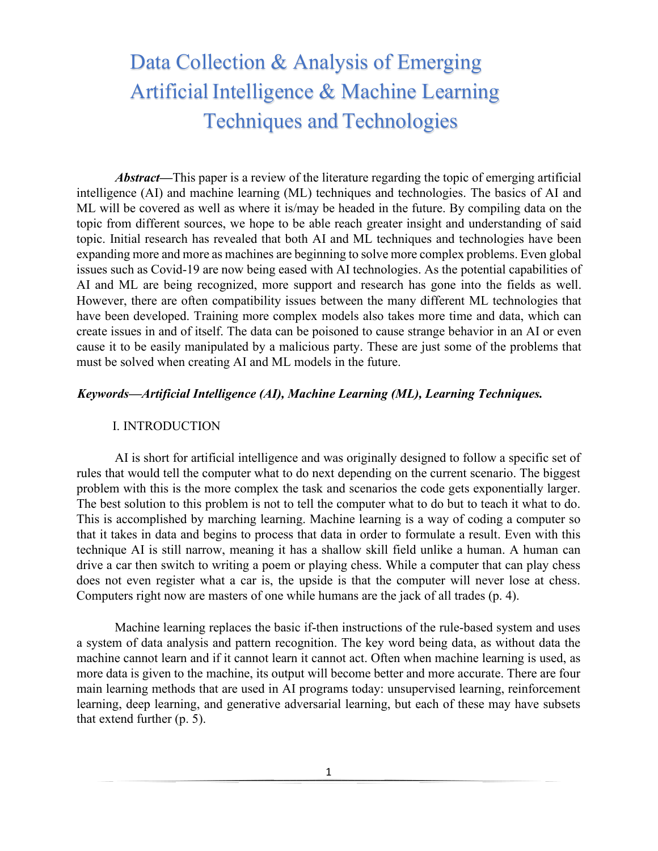# Data Collection & Analysis of Emerging Artificial Intelligence & Machine Learning Techniques and Technologies

*Abstract***—**This paper is a review of the literature regarding the topic of emerging artificial intelligence (AI) and machine learning (ML) techniques and technologies. The basics of AI and ML will be covered as well as where it is/may be headed in the future. By compiling data on the topic from different sources, we hope to be able reach greater insight and understanding of said topic. Initial research has revealed that both AI and ML techniques and technologies have been expanding more and more as machines are beginning to solve more complex problems. Even global issues such as Covid-19 are now being eased with AI technologies. As the potential capabilities of AI and ML are being recognized, more support and research has gone into the fields as well. However, there are often compatibility issues between the many different ML technologies that have been developed. Training more complex models also takes more time and data, which can create issues in and of itself. The data can be poisoned to cause strange behavior in an AI or even cause it to be easily manipulated by a malicious party. These are just some of the problems that must be solved when creating AI and ML models in the future.

#### *Keywords—Artificial Intelligence (AI), Machine Learning (ML), Learning Techniques.*

#### I. INTRODUCTION

AI is short for artificial intelligence and was originally designed to follow a specific set of rules that would tell the computer what to do next depending on the current scenario. The biggest problem with this is the more complex the task and scenarios the code gets exponentially larger. The best solution to this problem is not to tell the computer what to do but to teach it what to do. This is accomplished by marching learning. Machine learning is a way of coding a computer so that it takes in data and begins to process that data in order to formulate a result. Even with this technique AI is still narrow, meaning it has a shallow skill field unlike a human. A human can drive a car then switch to writing a poem or playing chess. While a computer that can play chess does not even register what a car is, the upside is that the computer will never lose at chess. Computers right now are masters of one while humans are the jack of all trades (p. 4).

Machine learning replaces the basic if-then instructions of the rule-based system and uses a system of data analysis and pattern recognition. The key word being data, as without data the machine cannot learn and if it cannot learn it cannot act. Often when machine learning is used, as more data is given to the machine, its output will become better and more accurate. There are four main learning methods that are used in AI programs today: unsupervised learning, reinforcement learning, deep learning, and generative adversarial learning, but each of these may have subsets that extend further (p. 5).

1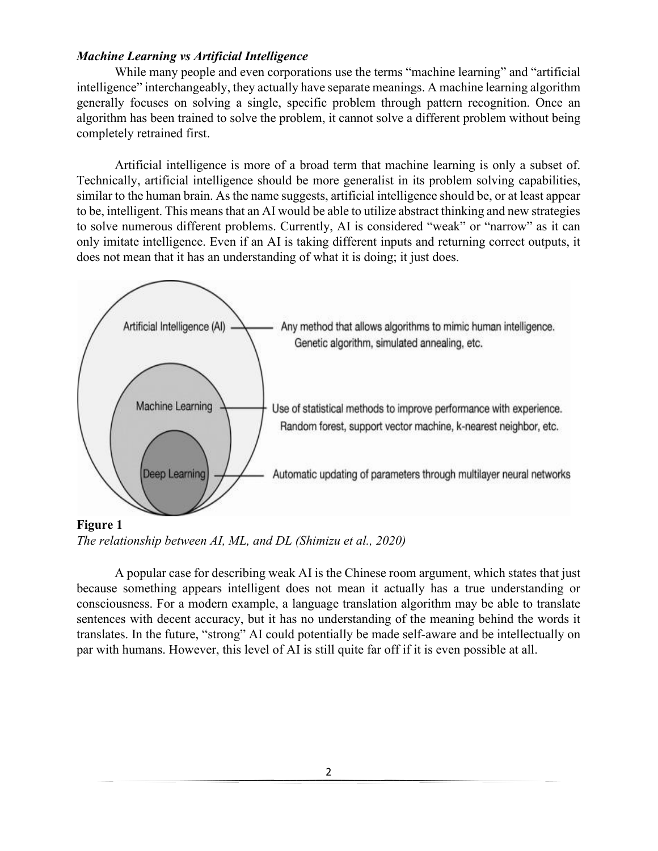# *Machine Learning vs Artificial Intelligence*

While many people and even corporations use the terms "machine learning" and "artificial intelligence" interchangeably, they actually have separate meanings. A machine learning algorithm generally focuses on solving a single, specific problem through pattern recognition. Once an algorithm has been trained to solve the problem, it cannot solve a different problem without being completely retrained first.

Artificial intelligence is more of a broad term that machine learning is only a subset of. Technically, artificial intelligence should be more generalist in its problem solving capabilities, similar to the human brain. As the name suggests, artificial intelligence should be, or at least appear to be, intelligent. This means that an AI would be able to utilize abstract thinking and new strategies to solve numerous different problems. Currently, AI is considered "weak" or "narrow" as it can only imitate intelligence. Even if an AI is taking different inputs and returning correct outputs, it does not mean that it has an understanding of what it is doing; it just does.



**Figure 1**  *The relationship between AI, ML, and DL (Shimizu et al., 2020)* 

A popular case for describing weak AI is the Chinese room argument, which states that just because something appears intelligent does not mean it actually has a true understanding or consciousness. For a modern example, a language translation algorithm may be able to translate sentences with decent accuracy, but it has no understanding of the meaning behind the words it translates. In the future, "strong" AI could potentially be made self-aware and be intellectually on par with humans. However, this level of AI is still quite far off if it is even possible at all.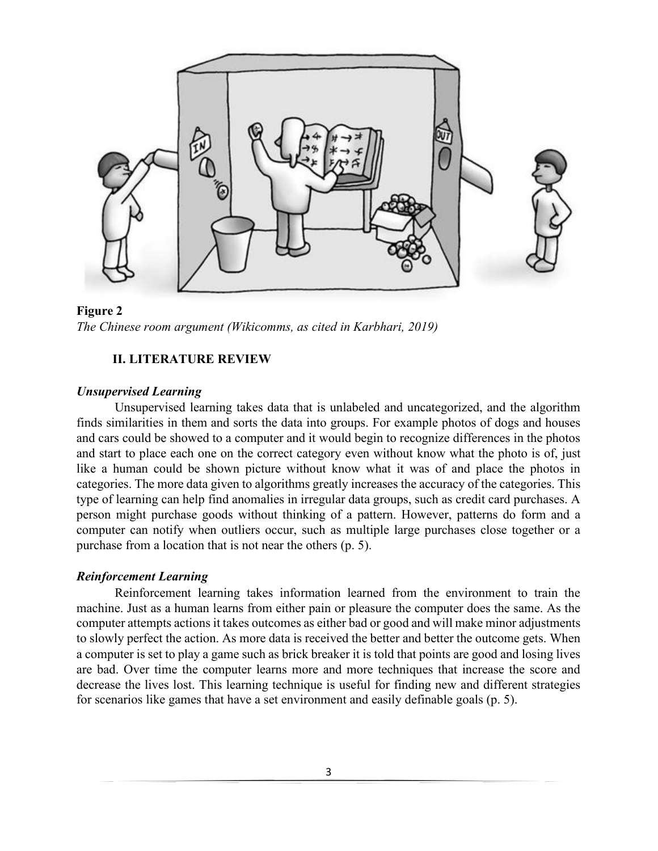

**Figure 2**  *The Chinese room argument (Wikicomms, as cited in Karbhari, 2019)*

# **II. LITERATURE REVIEW**

## *Unsupervised Learning*

Unsupervised learning takes data that is unlabeled and uncategorized, and the algorithm finds similarities in them and sorts the data into groups. For example photos of dogs and houses and cars could be showed to a computer and it would begin to recognize differences in the photos and start to place each one on the correct category even without know what the photo is of, just like a human could be shown picture without know what it was of and place the photos in categories. The more data given to algorithms greatly increases the accuracy of the categories. This type of learning can help find anomalies in irregular data groups, such as credit card purchases. A person might purchase goods without thinking of a pattern. However, patterns do form and a computer can notify when outliers occur, such as multiple large purchases close together or a purchase from a location that is not near the others (p. 5).

# *Reinforcement Learning*

Reinforcement learning takes information learned from the environment to train the machine. Just as a human learns from either pain or pleasure the computer does the same. As the computer attempts actions it takes outcomes as either bad or good and will make minor adjustments to slowly perfect the action. As more data is received the better and better the outcome gets. When a computer is set to play a game such as brick breaker it is told that points are good and losing lives are bad. Over time the computer learns more and more techniques that increase the score and decrease the lives lost. This learning technique is useful for finding new and different strategies for scenarios like games that have a set environment and easily definable goals (p. 5).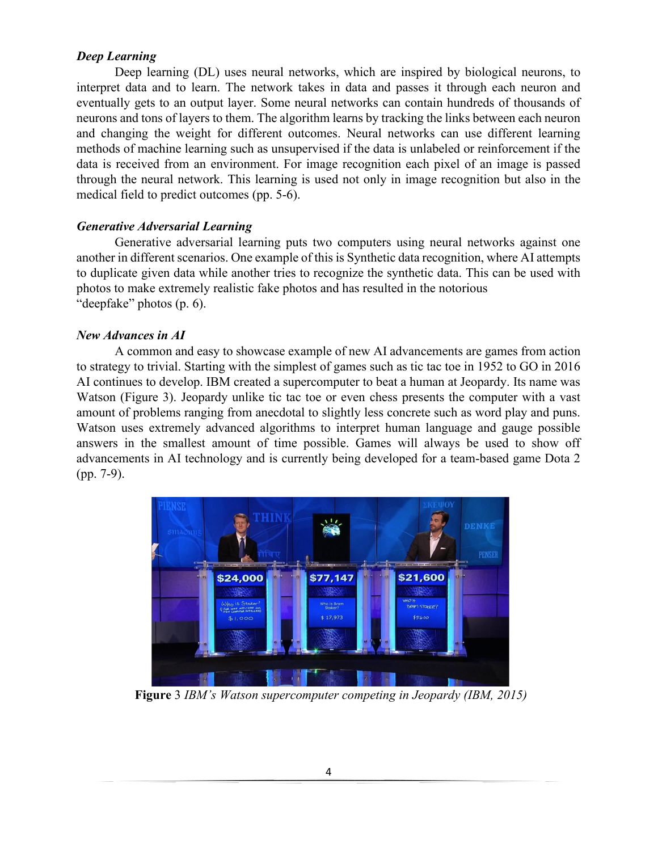# *Deep Learning*

Deep learning (DL) uses neural networks, which are inspired by biological neurons, to interpret data and to learn. The network takes in data and passes it through each neuron and eventually gets to an output layer. Some neural networks can contain hundreds of thousands of neurons and tons of layers to them. The algorithm learns by tracking the links between each neuron and changing the weight for different outcomes. Neural networks can use different learning methods of machine learning such as unsupervised if the data is unlabeled or reinforcement if the data is received from an environment. For image recognition each pixel of an image is passed through the neural network. This learning is used not only in image recognition but also in the medical field to predict outcomes (pp. 5-6).

# *Generative Adversarial Learning*

Generative adversarial learning puts two computers using neural networks against one another in different scenarios. One example of this is Synthetic data recognition, where AI attempts to duplicate given data while another tries to recognize the synthetic data. This can be used with photos to make extremely realistic fake photos and has resulted in the notorious "deepfake" photos (p. 6).

# *New Advances in AI*

A common and easy to showcase example of new AI advancements are games from action to strategy to trivial. Starting with the simplest of games such as tic tac toe in 1952 to GO in 2016 AI continues to develop. IBM created a supercomputer to beat a human at Jeopardy. Its name was Watson (Figure 3). Jeopardy unlike tic tac toe or even chess presents the computer with a vast amount of problems ranging from anecdotal to slightly less concrete such as word play and puns. Watson uses extremely advanced algorithms to interpret human language and gauge possible answers in the smallest amount of time possible. Games will always be used to show off advancements in AI technology and is currently being developed for a team-based game Dota 2 (pp. 7-9).



**Figure** 3 *IBM's Watson supercomputer competing in Jeopardy (IBM, 2015)*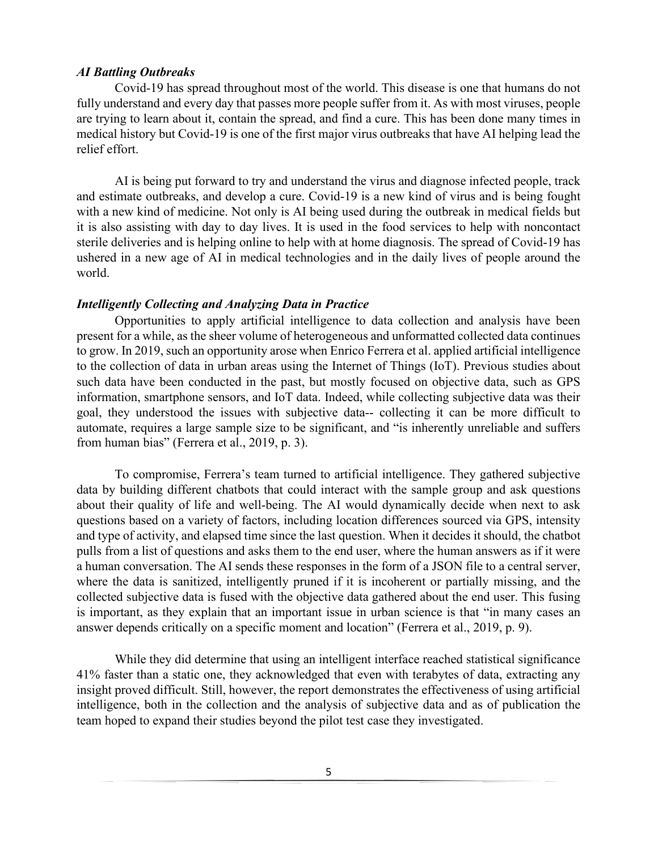#### *AI Battling Outbreaks*

Covid-19 has spread throughout most of the world. This disease is one that humans do not fully understand and every day that passes more people suffer from it. As with most viruses, people are trying to learn about it, contain the spread, and find a cure. This has been done many times in medical history but Covid-19 is one of the first major virus outbreaks that have AI helping lead the relief effort.

AI is being put forward to try and understand the virus and diagnose infected people, track and estimate outbreaks, and develop a cure. Covid-19 is a new kind of virus and is being fought with a new kind of medicine. Not only is AI being used during the outbreak in medical fields but it is also assisting with day to day lives. It is used in the food services to help with noncontact sterile deliveries and is helping online to help with at home diagnosis. The spread of Covid-19 has ushered in a new age of AI in medical technologies and in the daily lives of people around the world.

## *Intelligently Collecting and Analyzing Data in Practice*

Opportunities to apply artificial intelligence to data collection and analysis have been present for a while, as the sheer volume of heterogeneous and unformatted collected data continues to grow. In 2019, such an opportunity arose when Enrico Ferrera et al. applied artificial intelligence to the collection of data in urban areas using the Internet of Things (IoT). Previous studies about such data have been conducted in the past, but mostly focused on objective data, such as GPS information, smartphone sensors, and IoT data. Indeed, while collecting subjective data was their goal, they understood the issues with subjective data-- collecting it can be more difficult to automate, requires a large sample size to be significant, and "is inherently unreliable and suffers from human bias" (Ferrera et al., 2019, p. 3).

To compromise, Ferrera's team turned to artificial intelligence. They gathered subjective data by building different chatbots that could interact with the sample group and ask questions about their quality of life and well-being. The AI would dynamically decide when next to ask questions based on a variety of factors, including location differences sourced via GPS, intensity and type of activity, and elapsed time since the last question. When it decides it should, the chatbot pulls from a list of questions and asks them to the end user, where the human answers as if it were a human conversation. The AI sends these responses in the form of a JSON file to a central server, where the data is sanitized, intelligently pruned if it is incoherent or partially missing, and the collected subjective data is fused with the objective data gathered about the end user. This fusing is important, as they explain that an important issue in urban science is that "in many cases an answer depends critically on a specific moment and location" (Ferrera et al., 2019, p. 9).

While they did determine that using an intelligent interface reached statistical significance 41% faster than a static one, they acknowledged that even with terabytes of data, extracting any insight proved difficult. Still, however, the report demonstrates the effectiveness of using artificial intelligence, both in the collection and the analysis of subjective data and as of publication the team hoped to expand their studies beyond the pilot test case they investigated.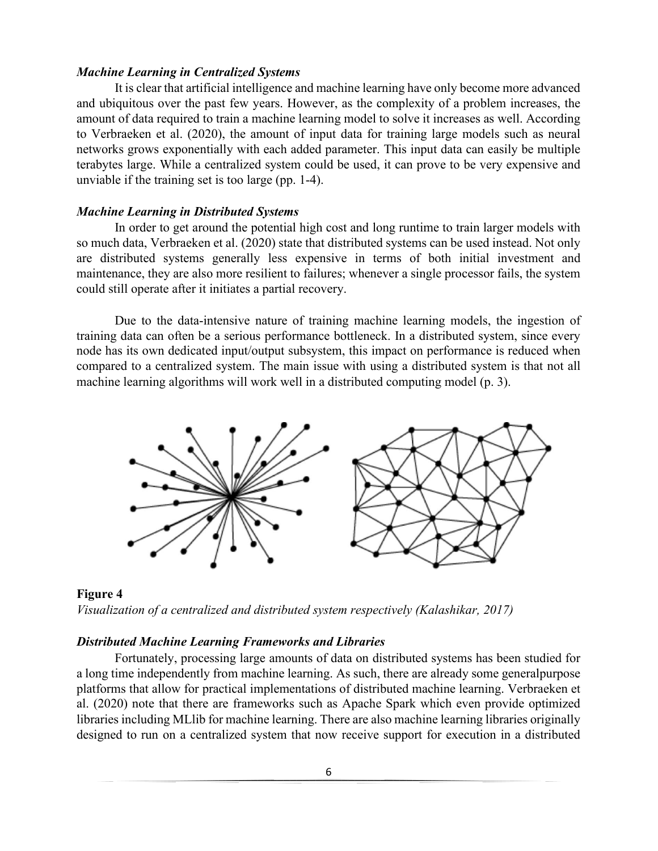### *Machine Learning in Centralized Systems*

It is clear that artificial intelligence and machine learning have only become more advanced and ubiquitous over the past few years. However, as the complexity of a problem increases, the amount of data required to train a machine learning model to solve it increases as well. According to Verbraeken et al. (2020), the amount of input data for training large models such as neural networks grows exponentially with each added parameter. This input data can easily be multiple terabytes large. While a centralized system could be used, it can prove to be very expensive and unviable if the training set is too large (pp. 1-4).

#### *Machine Learning in Distributed Systems*

In order to get around the potential high cost and long runtime to train larger models with so much data, Verbraeken et al. (2020) state that distributed systems can be used instead. Not only are distributed systems generally less expensive in terms of both initial investment and maintenance, they are also more resilient to failures; whenever a single processor fails, the system could still operate after it initiates a partial recovery.

Due to the data-intensive nature of training machine learning models, the ingestion of training data can often be a serious performance bottleneck. In a distributed system, since every node has its own dedicated input/output subsystem, this impact on performance is reduced when compared to a centralized system. The main issue with using a distributed system is that not all machine learning algorithms will work well in a distributed computing model (p. 3).



**Figure 4**  *Visualization of a centralized and distributed system respectively (Kalashikar, 2017)*

## *Distributed Machine Learning Frameworks and Libraries*

Fortunately, processing large amounts of data on distributed systems has been studied for a long time independently from machine learning. As such, there are already some generalpurpose platforms that allow for practical implementations of distributed machine learning. Verbraeken et al. (2020) note that there are frameworks such as Apache Spark which even provide optimized libraries including MLlib for machine learning. There are also machine learning libraries originally designed to run on a centralized system that now receive support for execution in a distributed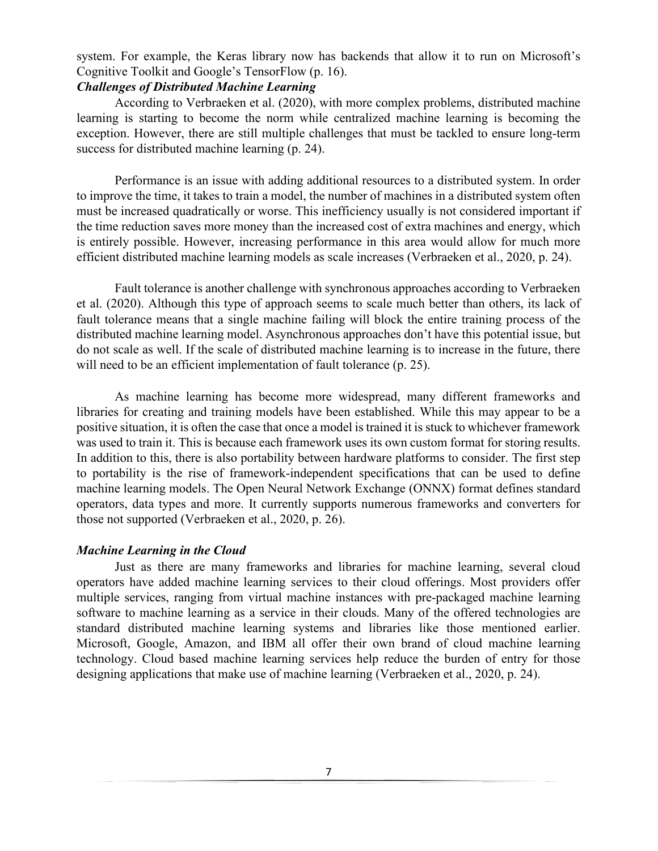system. For example, the Keras library now has backends that allow it to run on Microsoft's Cognitive Toolkit and Google's TensorFlow (p. 16).

# *Challenges of Distributed Machine Learning*

According to Verbraeken et al. (2020), with more complex problems, distributed machine learning is starting to become the norm while centralized machine learning is becoming the exception. However, there are still multiple challenges that must be tackled to ensure long-term success for distributed machine learning (p. 24).

Performance is an issue with adding additional resources to a distributed system. In order to improve the time, it takes to train a model, the number of machines in a distributed system often must be increased quadratically or worse. This inefficiency usually is not considered important if the time reduction saves more money than the increased cost of extra machines and energy, which is entirely possible. However, increasing performance in this area would allow for much more efficient distributed machine learning models as scale increases (Verbraeken et al., 2020, p. 24).

Fault tolerance is another challenge with synchronous approaches according to Verbraeken et al. (2020). Although this type of approach seems to scale much better than others, its lack of fault tolerance means that a single machine failing will block the entire training process of the distributed machine learning model. Asynchronous approaches don't have this potential issue, but do not scale as well. If the scale of distributed machine learning is to increase in the future, there will need to be an efficient implementation of fault tolerance (p. 25).

As machine learning has become more widespread, many different frameworks and libraries for creating and training models have been established. While this may appear to be a positive situation, it is often the case that once a model is trained it is stuck to whichever framework was used to train it. This is because each framework uses its own custom format for storing results. In addition to this, there is also portability between hardware platforms to consider. The first step to portability is the rise of framework-independent specifications that can be used to define machine learning models. The Open Neural Network Exchange (ONNX) format defines standard operators, data types and more. It currently supports numerous frameworks and converters for those not supported (Verbraeken et al., 2020, p. 26).

## *Machine Learning in the Cloud*

Just as there are many frameworks and libraries for machine learning, several cloud operators have added machine learning services to their cloud offerings. Most providers offer multiple services, ranging from virtual machine instances with pre-packaged machine learning software to machine learning as a service in their clouds. Many of the offered technologies are standard distributed machine learning systems and libraries like those mentioned earlier. Microsoft, Google, Amazon, and IBM all offer their own brand of cloud machine learning technology. Cloud based machine learning services help reduce the burden of entry for those designing applications that make use of machine learning (Verbraeken et al., 2020, p. 24).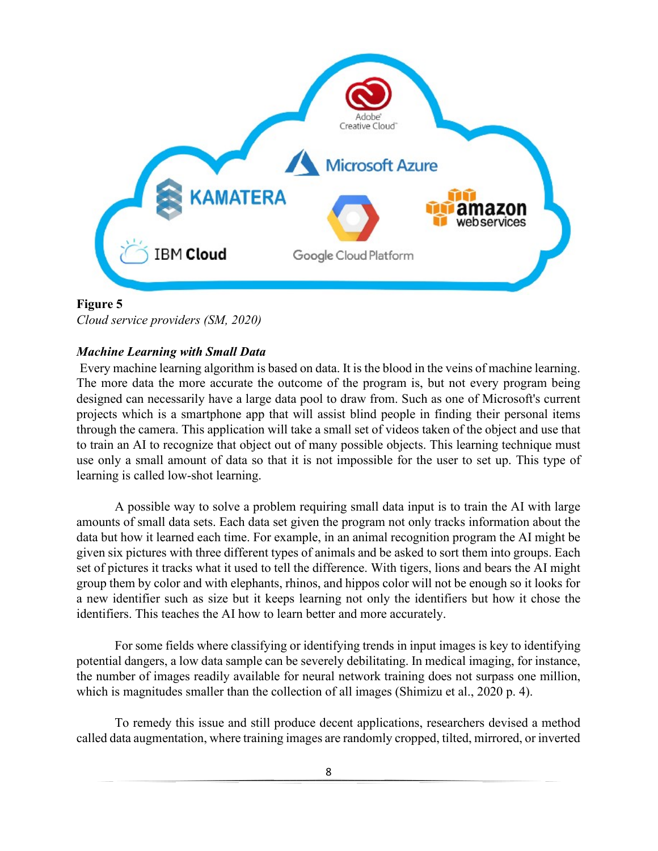

# **Figure 5**

*Cloud service providers (SM, 2020)*

# *Machine Learning with Small Data*

Every machine learning algorithm is based on data. It is the blood in the veins of machine learning. The more data the more accurate the outcome of the program is, but not every program being designed can necessarily have a large data pool to draw from. Such as one of Microsoft's current projects which is a smartphone app that will assist blind people in finding their personal items through the camera. This application will take a small set of videos taken of the object and use that to train an AI to recognize that object out of many possible objects. This learning technique must use only a small amount of data so that it is not impossible for the user to set up. This type of learning is called low-shot learning.

A possible way to solve a problem requiring small data input is to train the AI with large amounts of small data sets. Each data set given the program not only tracks information about the data but how it learned each time. For example, in an animal recognition program the AI might be given six pictures with three different types of animals and be asked to sort them into groups. Each set of pictures it tracks what it used to tell the difference. With tigers, lions and bears the AI might group them by color and with elephants, rhinos, and hippos color will not be enough so it looks for a new identifier such as size but it keeps learning not only the identifiers but how it chose the identifiers. This teaches the AI how to learn better and more accurately.

For some fields where classifying or identifying trends in input images is key to identifying potential dangers, a low data sample can be severely debilitating. In medical imaging, for instance, the number of images readily available for neural network training does not surpass one million, which is magnitudes smaller than the collection of all images (Shimizu et al., 2020 p. 4).

To remedy this issue and still produce decent applications, researchers devised a method called data augmentation, where training images are randomly cropped, tilted, mirrored, or inverted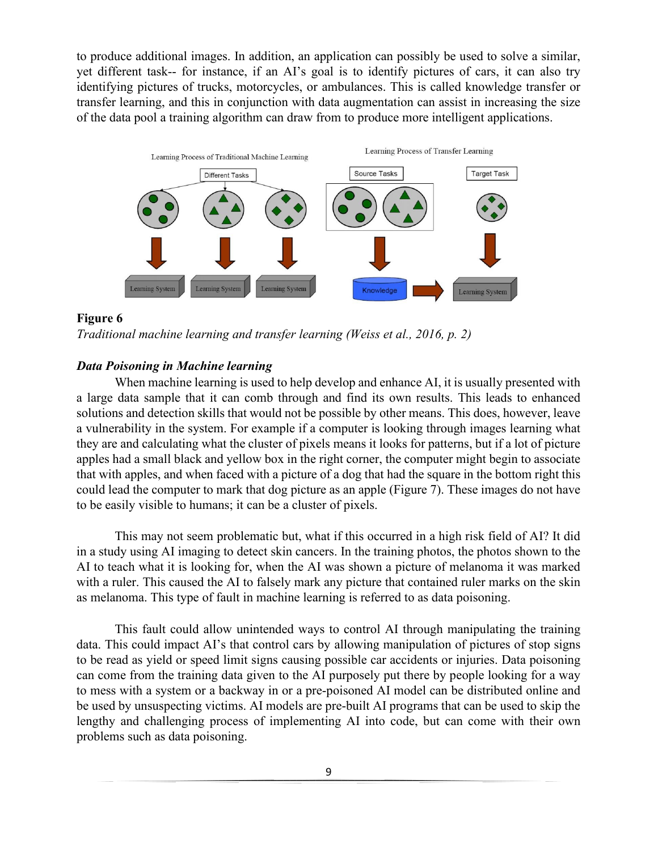to produce additional images. In addition, an application can possibly be used to solve a similar, yet different task-- for instance, if an AI's goal is to identify pictures of cars, it can also try identifying pictures of trucks, motorcycles, or ambulances. This is called knowledge transfer or transfer learning, and this in conjunction with data augmentation can assist in increasing the size of the data pool a training algorithm can draw from to produce more intelligent applications.



## **Figure 6**



# *Data Poisoning in Machine learning*

When machine learning is used to help develop and enhance AI, it is usually presented with a large data sample that it can comb through and find its own results. This leads to enhanced solutions and detection skills that would not be possible by other means. This does, however, leave a vulnerability in the system. For example if a computer is looking through images learning what they are and calculating what the cluster of pixels means it looks for patterns, but if a lot of picture apples had a small black and yellow box in the right corner, the computer might begin to associate that with apples, and when faced with a picture of a dog that had the square in the bottom right this could lead the computer to mark that dog picture as an apple (Figure 7). These images do not have to be easily visible to humans; it can be a cluster of pixels.

This may not seem problematic but, what if this occurred in a high risk field of AI? It did in a study using AI imaging to detect skin cancers. In the training photos, the photos shown to the AI to teach what it is looking for, when the AI was shown a picture of melanoma it was marked with a ruler. This caused the AI to falsely mark any picture that contained ruler marks on the skin as melanoma. This type of fault in machine learning is referred to as data poisoning.

This fault could allow unintended ways to control AI through manipulating the training data. This could impact AI's that control cars by allowing manipulation of pictures of stop signs to be read as yield or speed limit signs causing possible car accidents or injuries. Data poisoning can come from the training data given to the AI purposely put there by people looking for a way to mess with a system or a backway in or a pre-poisoned AI model can be distributed online and be used by unsuspecting victims. AI models are pre-built AI programs that can be used to skip the lengthy and challenging process of implementing AI into code, but can come with their own problems such as data poisoning.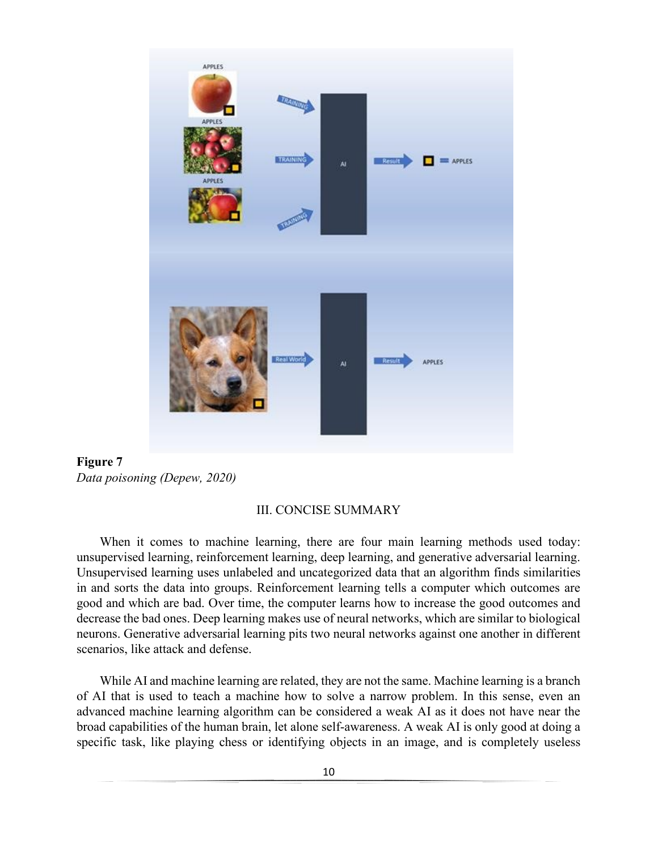

**Figure 7**  *Data poisoning (Depew, 2020)* 

#### III. CONCISE SUMMARY

When it comes to machine learning, there are four main learning methods used today: unsupervised learning, reinforcement learning, deep learning, and generative adversarial learning. Unsupervised learning uses unlabeled and uncategorized data that an algorithm finds similarities in and sorts the data into groups. Reinforcement learning tells a computer which outcomes are good and which are bad. Over time, the computer learns how to increase the good outcomes and decrease the bad ones. Deep learning makes use of neural networks, which are similar to biological neurons. Generative adversarial learning pits two neural networks against one another in different scenarios, like attack and defense.

While AI and machine learning are related, they are not the same. Machine learning is a branch of AI that is used to teach a machine how to solve a narrow problem. In this sense, even an advanced machine learning algorithm can be considered a weak AI as it does not have near the broad capabilities of the human brain, let alone self-awareness. A weak AI is only good at doing a specific task, like playing chess or identifying objects in an image, and is completely useless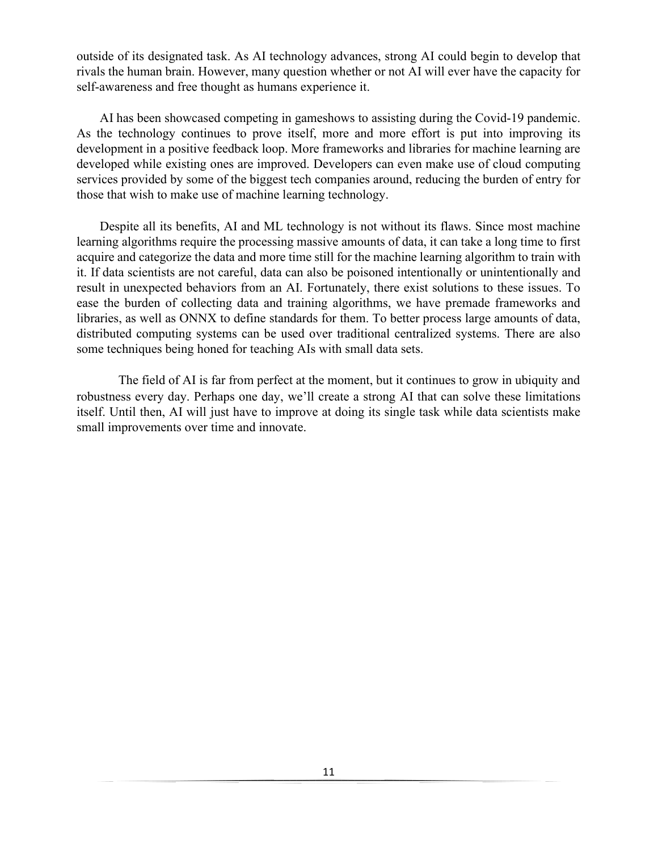outside of its designated task. As AI technology advances, strong AI could begin to develop that rivals the human brain. However, many question whether or not AI will ever have the capacity for self-awareness and free thought as humans experience it.

AI has been showcased competing in gameshows to assisting during the Covid-19 pandemic. As the technology continues to prove itself, more and more effort is put into improving its development in a positive feedback loop. More frameworks and libraries for machine learning are developed while existing ones are improved. Developers can even make use of cloud computing services provided by some of the biggest tech companies around, reducing the burden of entry for those that wish to make use of machine learning technology.

Despite all its benefits, AI and ML technology is not without its flaws. Since most machine learning algorithms require the processing massive amounts of data, it can take a long time to first acquire and categorize the data and more time still for the machine learning algorithm to train with it. If data scientists are not careful, data can also be poisoned intentionally or unintentionally and result in unexpected behaviors from an AI. Fortunately, there exist solutions to these issues. To ease the burden of collecting data and training algorithms, we have premade frameworks and libraries, as well as ONNX to define standards for them. To better process large amounts of data, distributed computing systems can be used over traditional centralized systems. There are also some techniques being honed for teaching AIs with small data sets.

The field of AI is far from perfect at the moment, but it continues to grow in ubiquity and robustness every day. Perhaps one day, we'll create a strong AI that can solve these limitations itself. Until then, AI will just have to improve at doing its single task while data scientists make small improvements over time and innovate.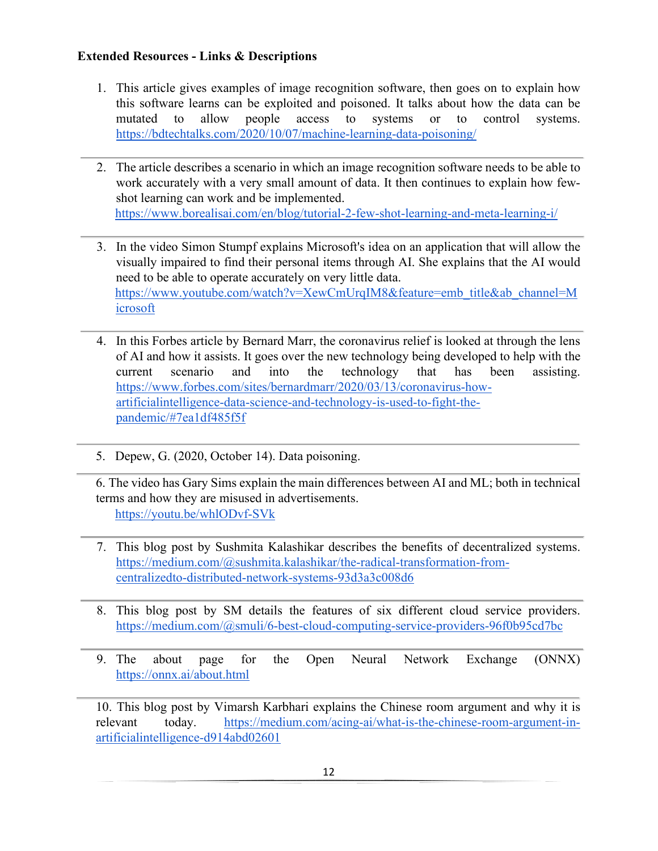# **Extended Resources - Links & Descriptions**

- 1. This article gives examples of image recognition software, then goes on to explain how this software learns can be exploited and poisoned. It talks about how the data can be mutated to allow people access to systems or to control systems. <https://bdtechtalks.com/2020/10/07/machine-learning-data-poisoning/>
- 2. The article describes a scenario in which an image recognition software needs to be able to work accurately with a very small amount of data. It then continues to explain how fewshot learning can work and be implemented. <https://www.borealisai.com/en/blog/tutorial-2-few-shot-learning-and-meta-learning-i/>
- 3. In the video Simon Stumpf explains Microsoft's idea on an application that will allow the visually impaired to find their personal items through AI. She explains that the AI would need to be able to operate accurately on very little data. https://www.youtube.com/watch?v=XewCmUrqIM8&feature=emb\_title&ab\_channel=M [icrosoft](https://www.youtube.com/watch?v=XewCmUrqIM8&feature=emb_title&ab_channel=Microsoft)
- 4. In this Forbes article by Bernard Marr, the coronavirus relief is looked at through the lens of AI and how it assists. It goes over the new technology being developed to help with the current scenario and into the technology that has been assisting. [https://www.forbes.com/sites/bernardmarr/2020/03/13/coronavirus-how](https://www.forbes.com/sites/bernardmarr/2020/03/13/coronavirus-how-artificial-intelligence-data-science-and-technology-is-used-to-fight-the-pandemic/#7ea1df485f5f)[artificialintelligence-data-science-and-technology-is-used-to-fight-the](https://www.forbes.com/sites/bernardmarr/2020/03/13/coronavirus-how-artificial-intelligence-data-science-and-technology-is-used-to-fight-the-pandemic/#7ea1df485f5f)[pandemic/#7ea1df485f5f](https://www.forbes.com/sites/bernardmarr/2020/03/13/coronavirus-how-artificial-intelligence-data-science-and-technology-is-used-to-fight-the-pandemic/#7ea1df485f5f)
- 5. Depew, G. (2020, October 14). Data poisoning.

6. The video has Gary Sims explain the main differences between AI and ML; both in technical terms and how they are misused in advertisements. <https://youtu.be/whlODvf-SVk>

- 7. This blog post by Sushmita Kalashikar describes the benefits of decentralized systems. [https://medium.com/@sushmita.kalashikar/the-radical-transformation-from](https://medium.com/@sushmita.kalashikar/the-radical-transformation-from-centralized-to-distributed-network-systems-93d3a3c008d6)[centralizedto-distributed-network-systems-93d3a3c008d6](https://medium.com/@sushmita.kalashikar/the-radical-transformation-from-centralized-to-distributed-network-systems-93d3a3c008d6)
- 8. This blog post by SM details the features of six different cloud service providers. <https://medium.com/@smuli/6-best-cloud-computing-service-providers-96f0b95cd7bc>
- 9. The about page for the Open Neural Network Exchange (ONNX) <https://onnx.ai/about.html>

10. This blog post by Vimarsh Karbhari explains the Chinese room argument and why it is relevant today. [https://medium.com/acing-ai/what-is-the-chinese-room-argument-in](https://medium.com/acing-ai/what-is-the-chinese-room-argument-in-artificial-intelligence-d914abd02601)[artificialintelligence-d914abd02601](https://medium.com/acing-ai/what-is-the-chinese-room-argument-in-artificial-intelligence-d914abd02601)